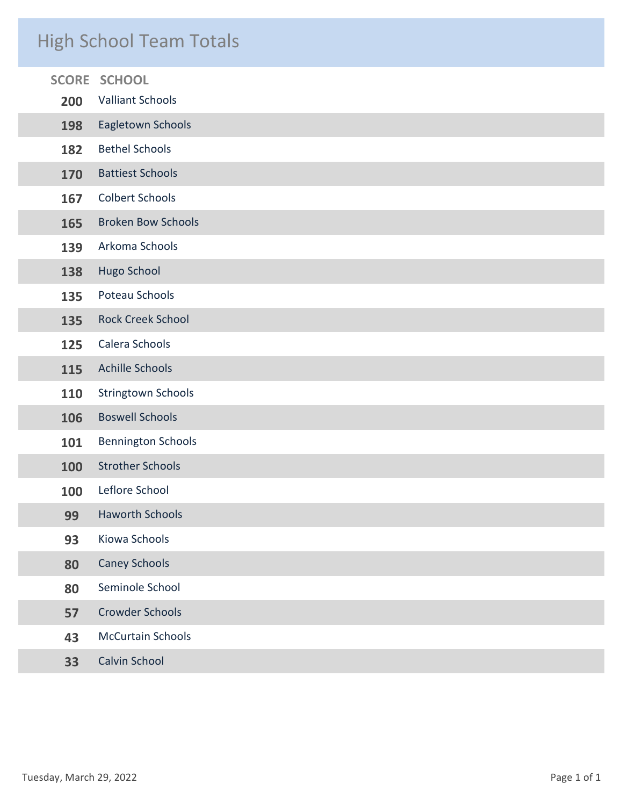# High School Team Totals

|     | <b>SCORE SCHOOL</b>       |
|-----|---------------------------|
| 200 | <b>Valliant Schools</b>   |
| 198 | Eagletown Schools         |
| 182 | <b>Bethel Schools</b>     |
| 170 | <b>Battiest Schools</b>   |
| 167 | <b>Colbert Schools</b>    |
| 165 | <b>Broken Bow Schools</b> |
| 139 | Arkoma Schools            |
| 138 | Hugo School               |
| 135 | Poteau Schools            |
| 135 | <b>Rock Creek School</b>  |
| 125 | Calera Schools            |
| 115 | <b>Achille Schools</b>    |
| 110 | Stringtown Schools        |
| 106 | <b>Boswell Schools</b>    |
| 101 | <b>Bennington Schools</b> |
| 100 | <b>Strother Schools</b>   |
| 100 | Leflore School            |
| 99  | <b>Haworth Schools</b>    |
| 93  | Kiowa Schools             |
| 80  | <b>Caney Schools</b>      |
| 80  | Seminole School           |
| 57  | <b>Crowder Schools</b>    |
| 43  | <b>McCurtain Schools</b>  |
| 33  | Calvin School             |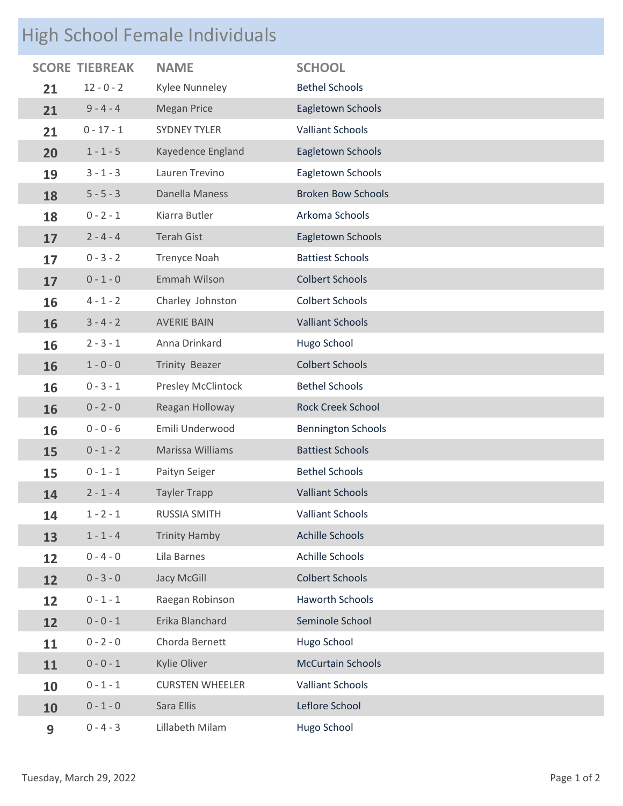# High School Female Individuals

|    | <b>SCORE TIEBREAK</b> | <b>NAME</b>            | <b>SCHOOL</b>             |
|----|-----------------------|------------------------|---------------------------|
| 21 | $12 - 0 - 2$          | Kylee Nunneley         | <b>Bethel Schools</b>     |
| 21 | $9 - 4 - 4$           | <b>Megan Price</b>     | Eagletown Schools         |
| 21 | $0 - 17 - 1$          | <b>SYDNEY TYLER</b>    | <b>Valliant Schools</b>   |
| 20 | $1 - 1 - 5$           | Kayedence England      | Eagletown Schools         |
| 19 | $3 - 1 - 3$           | Lauren Trevino         | Eagletown Schools         |
| 18 | $5 - 5 - 3$           | Danella Maness         | <b>Broken Bow Schools</b> |
| 18 | $0 - 2 - 1$           | Kiarra Butler          | Arkoma Schools            |
| 17 | $2 - 4 - 4$           | <b>Terah Gist</b>      | Eagletown Schools         |
| 17 | $0 - 3 - 2$           | <b>Trenyce Noah</b>    | <b>Battiest Schools</b>   |
| 17 | $0 - 1 - 0$           | Emmah Wilson           | <b>Colbert Schools</b>    |
| 16 | $4 - 1 - 2$           | Charley Johnston       | <b>Colbert Schools</b>    |
| 16 | $3 - 4 - 2$           | <b>AVERIE BAIN</b>     | <b>Valliant Schools</b>   |
| 16 | $2 - 3 - 1$           | Anna Drinkard          | Hugo School               |
| 16 | $1 - 0 - 0$           | Trinity Beazer         | <b>Colbert Schools</b>    |
| 16 | $0 - 3 - 1$           | Presley McClintock     | <b>Bethel Schools</b>     |
| 16 | $0 - 2 - 0$           | Reagan Holloway        | <b>Rock Creek School</b>  |
| 16 | $0 - 0 - 6$           | Emili Underwood        | <b>Bennington Schools</b> |
| 15 | $0 - 1 - 2$           | Marissa Williams       | <b>Battiest Schools</b>   |
| 15 | $0 - 1 - 1$           | Paityn Seiger          | <b>Bethel Schools</b>     |
| 14 | $2 - 1 - 4$           | <b>Tayler Trapp</b>    | <b>Valliant Schools</b>   |
| 14 | $1 - 2 - 1$           | <b>RUSSIA SMITH</b>    | <b>Valliant Schools</b>   |
| 13 | $1 - 1 - 4$           | <b>Trinity Hamby</b>   | <b>Achille Schools</b>    |
| 12 | $0 - 4 - 0$           | Lila Barnes            | Achille Schools           |
| 12 | $0 - 3 - 0$           | Jacy McGill            | <b>Colbert Schools</b>    |
| 12 | $0 - 1 - 1$           | Raegan Robinson        | <b>Haworth Schools</b>    |
| 12 | $0 - 0 - 1$           | Erika Blanchard        | Seminole School           |
| 11 | $0 - 2 - 0$           | Chorda Bernett         | Hugo School               |
| 11 | $0 - 0 - 1$           | Kylie Oliver           | <b>McCurtain Schools</b>  |
| 10 | $0 - 1 - 1$           | <b>CURSTEN WHEELER</b> | <b>Valliant Schools</b>   |
| 10 | $0 - 1 - 0$           | Sara Ellis             | Leflore School            |
| 9  | $0 - 4 - 3$           | Lillabeth Milam        | Hugo School               |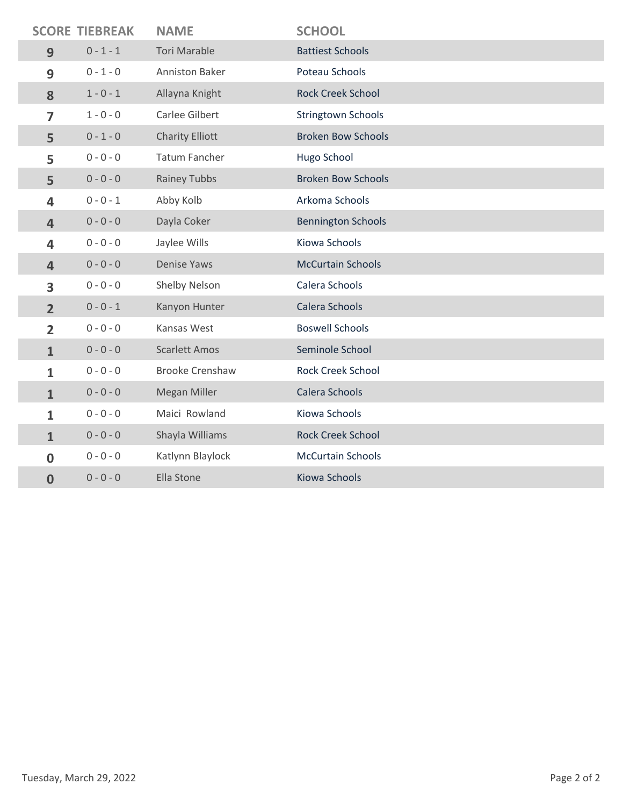|                | <b>SCORE TIEBREAK</b> | <b>NAME</b>            | <b>SCHOOL</b>             |
|----------------|-----------------------|------------------------|---------------------------|
| 9              | $0 - 1 - 1$           | <b>Tori Marable</b>    | <b>Battiest Schools</b>   |
| 9              | $0 - 1 - 0$           | Anniston Baker         | Poteau Schools            |
| 8              | $1 - 0 - 1$           | Allayna Knight         | <b>Rock Creek School</b>  |
| 7              | $1 - 0 - 0$           | Carlee Gilbert         | <b>Stringtown Schools</b> |
| 5              | $0 - 1 - 0$           | <b>Charity Elliott</b> | <b>Broken Bow Schools</b> |
| 5              | $0 - 0 - 0$           | <b>Tatum Fancher</b>   | Hugo School               |
| 5              | $0 - 0 - 0$           | <b>Rainey Tubbs</b>    | <b>Broken Bow Schools</b> |
| 4              | $0 - 0 - 1$           | Abby Kolb              | Arkoma Schools            |
| $\overline{4}$ | $0 - 0 - 0$           | Dayla Coker            | <b>Bennington Schools</b> |
| 4              | $0 - 0 - 0$           | Jaylee Wills           | Kiowa Schools             |
| $\overline{4}$ | $0 - 0 - 0$           | <b>Denise Yaws</b>     | <b>McCurtain Schools</b>  |
| 3              | $0 - 0 - 0$           | Shelby Nelson          | Calera Schools            |
| $\overline{2}$ | $0 - 0 - 1$           | Kanyon Hunter          | Calera Schools            |
| $\overline{2}$ | $0 - 0 - 0$           | Kansas West            | <b>Boswell Schools</b>    |
| $\mathbf{1}$   | $0 - 0 - 0$           | <b>Scarlett Amos</b>   | Seminole School           |
| $\mathbf{1}$   | $0 - 0 - 0$           | <b>Brooke Crenshaw</b> | <b>Rock Creek School</b>  |
| $\mathbf{1}$   | $0 - 0 - 0$           | Megan Miller           | Calera Schools            |
| 1              | $0 - 0 - 0$           | Maici Rowland          | Kiowa Schools             |
| $\mathbf{1}$   | $0 - 0 - 0$           | Shayla Williams        | <b>Rock Creek School</b>  |
| $\mathbf{0}$   | $0 - 0 - 0$           | Katlynn Blaylock       | <b>McCurtain Schools</b>  |
| 0              | $0 - 0 - 0$           | Ella Stone             | Kiowa Schools             |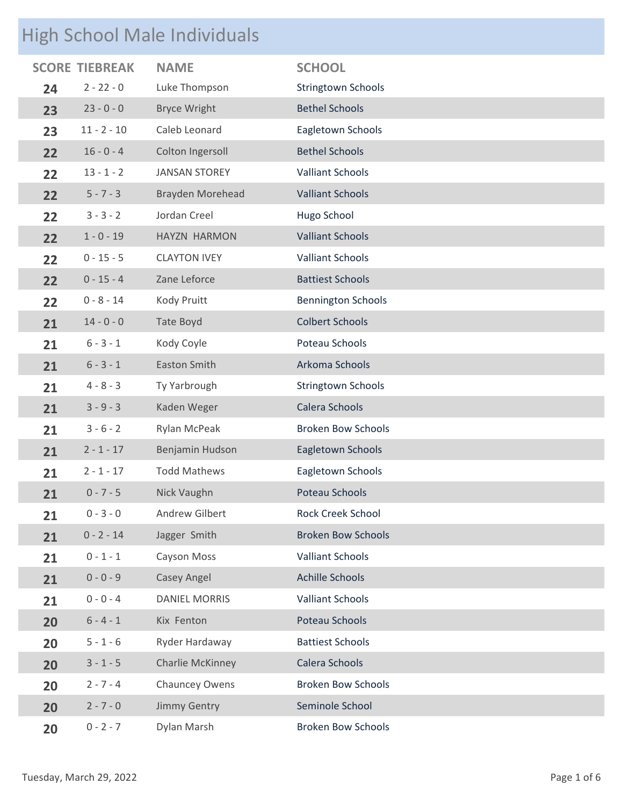## High School Male Individuals

|    | <b>SCORE TIEBREAK</b> | <b>NAME</b>          | <b>SCHOOL</b>             |
|----|-----------------------|----------------------|---------------------------|
| 24 | $2 - 22 - 0$          | Luke Thompson        | <b>Stringtown Schools</b> |
| 23 | $23 - 0 - 0$          | <b>Bryce Wright</b>  | <b>Bethel Schools</b>     |
| 23 | $11 - 2 - 10$         | Caleb Leonard        | Eagletown Schools         |
| 22 | $16 - 0 - 4$          | Colton Ingersoll     | <b>Bethel Schools</b>     |
| 22 | $13 - 1 - 2$          | <b>JANSAN STOREY</b> | <b>Valliant Schools</b>   |
| 22 | $5 - 7 - 3$           | Brayden Morehead     | <b>Valliant Schools</b>   |
| 22 | $3 - 3 - 2$           | Jordan Creel         | Hugo School               |
| 22 | $1 - 0 - 19$          | HAYZN HARMON         | <b>Valliant Schools</b>   |
| 22 | $0 - 15 - 5$          | <b>CLAYTON IVEY</b>  | <b>Valliant Schools</b>   |
| 22 | $0 - 15 - 4$          | Zane Leforce         | <b>Battiest Schools</b>   |
| 22 | $0 - 8 - 14$          | Kody Pruitt          | <b>Bennington Schools</b> |
| 21 | $14 - 0 - 0$          | Tate Boyd            | <b>Colbert Schools</b>    |
| 21 | $6 - 3 - 1$           | Kody Coyle           | Poteau Schools            |
| 21 | $6 - 3 - 1$           | <b>Easton Smith</b>  | Arkoma Schools            |
| 21 | $4 - 8 - 3$           | Ty Yarbrough         | Stringtown Schools        |
| 21 | $3 - 9 - 3$           | Kaden Weger          | Calera Schools            |
| 21 | $3 - 6 - 2$           | Rylan McPeak         | <b>Broken Bow Schools</b> |
| 21 | $2 - 1 - 17$          | Benjamin Hudson      | Eagletown Schools         |
| 21 | $2 - 1 - 17$          | <b>Todd Mathews</b>  | Eagletown Schools         |
| 21 | $0 - 7 - 5$           | Nick Vaughn          | Poteau Schools            |
| 21 | $0 - 3 - 0$           | Andrew Gilbert       | <b>Rock Creek School</b>  |
| 21 | $0 - 2 - 14$          | Jagger Smith         | <b>Broken Bow Schools</b> |
| 21 | $0 - 1 - 1$           | Cayson Moss          | <b>Valliant Schools</b>   |
| 21 | $0 - 0 - 9$           | Casey Angel          | <b>Achille Schools</b>    |
| 21 | $0 - 0 - 4$           | <b>DANIEL MORRIS</b> | <b>Valliant Schools</b>   |
| 20 | $6 - 4 - 1$           | Kix Fenton           | Poteau Schools            |
| 20 | $5 - 1 - 6$           | Ryder Hardaway       | <b>Battiest Schools</b>   |
| 20 | $3 - 1 - 5$           | Charlie McKinney     | Calera Schools            |
| 20 | $2 - 7 - 4$           | Chauncey Owens       | <b>Broken Bow Schools</b> |
| 20 | $2 - 7 - 0$           | Jimmy Gentry         | Seminole School           |
| 20 | $0 - 2 - 7$           | Dylan Marsh          | <b>Broken Bow Schools</b> |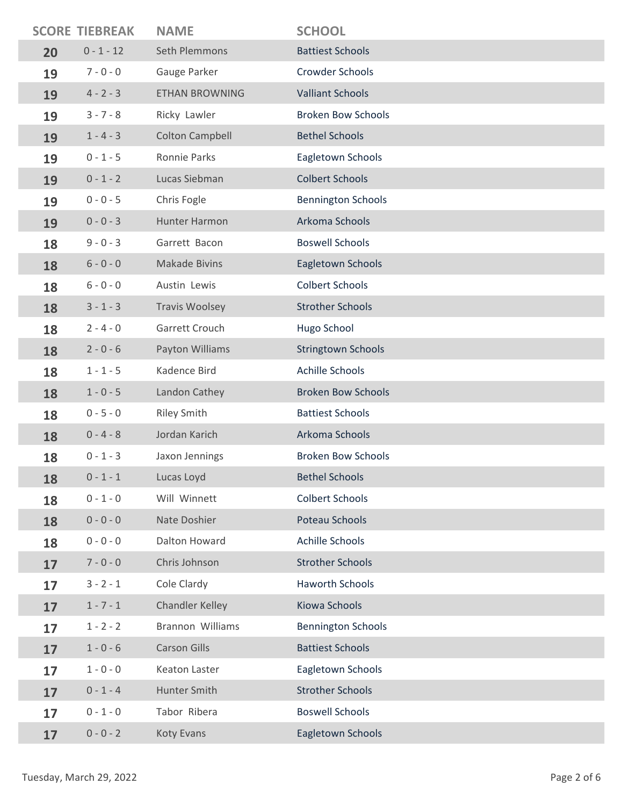|    | <b>SCORE TIEBREAK</b> | <b>NAME</b>            | <b>SCHOOL</b>             |
|----|-----------------------|------------------------|---------------------------|
| 20 | $0 - 1 - 12$          | Seth Plemmons          | <b>Battiest Schools</b>   |
| 19 | $7 - 0 - 0$           | Gauge Parker           | <b>Crowder Schools</b>    |
| 19 | $4 - 2 - 3$           | <b>ETHAN BROWNING</b>  | <b>Valliant Schools</b>   |
| 19 | $3 - 7 - 8$           | Ricky Lawler           | <b>Broken Bow Schools</b> |
| 19 | $1 - 4 - 3$           | <b>Colton Campbell</b> | <b>Bethel Schools</b>     |
| 19 | $0 - 1 - 5$           | Ronnie Parks           | Eagletown Schools         |
| 19 | $0 - 1 - 2$           | Lucas Siebman          | <b>Colbert Schools</b>    |
| 19 | $0 - 0 - 5$           | Chris Fogle            | <b>Bennington Schools</b> |
| 19 | $0 - 0 - 3$           | Hunter Harmon          | Arkoma Schools            |
| 18 | $9 - 0 - 3$           | Garrett Bacon          | <b>Boswell Schools</b>    |
| 18 | $6 - 0 - 0$           | <b>Makade Bivins</b>   | Eagletown Schools         |
| 18 | $6 - 0 - 0$           | Austin Lewis           | <b>Colbert Schools</b>    |
| 18 | $3 - 1 - 3$           | <b>Travis Woolsey</b>  | <b>Strother Schools</b>   |
| 18 | $2 - 4 - 0$           | Garrett Crouch         | Hugo School               |
| 18 | $2 - 0 - 6$           | Payton Williams        | <b>Stringtown Schools</b> |
| 18 | $1 - 1 - 5$           | Kadence Bird           | Achille Schools           |
| 18 | $1 - 0 - 5$           | Landon Cathey          | <b>Broken Bow Schools</b> |
| 18 | $0 - 5 - 0$           | <b>Riley Smith</b>     | <b>Battiest Schools</b>   |
| 18 | $0 - 4 - 8$           | Jordan Karich          | Arkoma Schools            |
| 18 | $0 - 1 - 3$           | Jaxon Jennings         | <b>Broken Bow Schools</b> |
| 18 | $0 - 1 - 1$           | Lucas Loyd             | Bethel Schools            |
| 18 | $0 - 1 - 0$           | Will Winnett           | <b>Colbert Schools</b>    |
| 18 | $0 - 0 - 0$           | Nate Doshier           | Poteau Schools            |
| 18 | $0 - 0 - 0$           | Dalton Howard          | Achille Schools           |
| 17 | $7 - 0 - 0$           | Chris Johnson          | <b>Strother Schools</b>   |
| 17 | $3 - 2 - 1$           | Cole Clardy            | <b>Haworth Schools</b>    |
| 17 | $1 - 7 - 1$           | Chandler Kelley        | Kiowa Schools             |
| 17 | $1 - 2 - 2$           | Brannon Williams       | <b>Bennington Schools</b> |
| 17 | $1 - 0 - 6$           | <b>Carson Gills</b>    | <b>Battiest Schools</b>   |
| 17 | $1 - 0 - 0$           | Keaton Laster          | Eagletown Schools         |
| 17 | $0 - 1 - 4$           | Hunter Smith           | <b>Strother Schools</b>   |
| 17 | $0 - 1 - 0$           | Tabor Ribera           | <b>Boswell Schools</b>    |
| 17 | $0 - 0 - 2$           | Koty Evans             | Eagletown Schools         |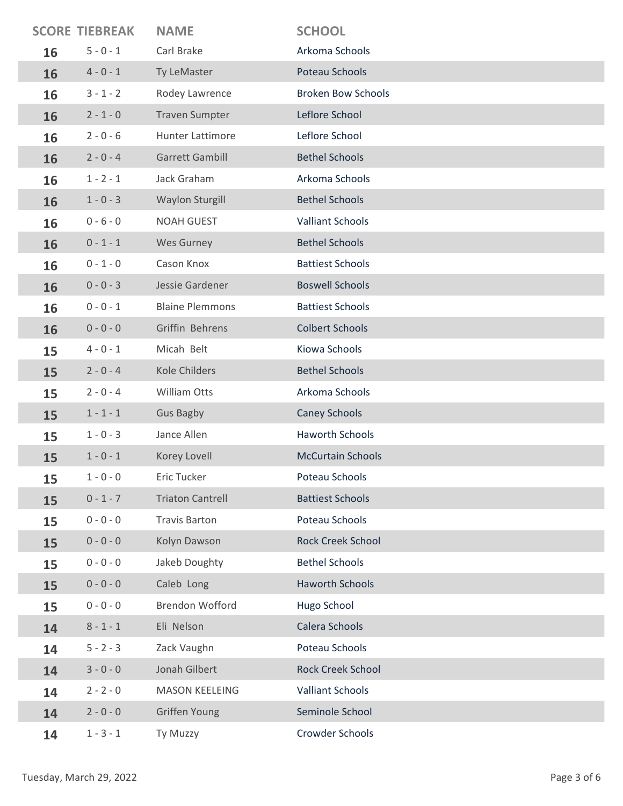|    | <b>SCORE TIEBREAK</b> | <b>NAME</b>             | <b>SCHOOL</b>             |
|----|-----------------------|-------------------------|---------------------------|
| 16 | $5 - 0 - 1$           | Carl Brake              | Arkoma Schools            |
| 16 | $4 - 0 - 1$           | Ty LeMaster             | Poteau Schools            |
| 16 | $3 - 1 - 2$           | Rodey Lawrence          | <b>Broken Bow Schools</b> |
| 16 | $2 - 1 - 0$           | <b>Traven Sumpter</b>   | Leflore School            |
| 16 | $2 - 0 - 6$           | <b>Hunter Lattimore</b> | Leflore School            |
| 16 | $2 - 0 - 4$           | <b>Garrett Gambill</b>  | <b>Bethel Schools</b>     |
| 16 | $1 - 2 - 1$           | Jack Graham             | Arkoma Schools            |
| 16 | $1 - 0 - 3$           | Waylon Sturgill         | <b>Bethel Schools</b>     |
| 16 | $0 - 6 - 0$           | <b>NOAH GUEST</b>       | <b>Valliant Schools</b>   |
| 16 | $0 - 1 - 1$           | Wes Gurney              | <b>Bethel Schools</b>     |
| 16 | $0 - 1 - 0$           | Cason Knox              | <b>Battiest Schools</b>   |
| 16 | $0 - 0 - 3$           | Jessie Gardener         | <b>Boswell Schools</b>    |
| 16 | $0 - 0 - 1$           | <b>Blaine Plemmons</b>  | <b>Battiest Schools</b>   |
| 16 | $0 - 0 - 0$           | Griffin Behrens         | <b>Colbert Schools</b>    |
| 15 | $4 - 0 - 1$           | Micah Belt              | Kiowa Schools             |
| 15 | $2 - 0 - 4$           | <b>Kole Childers</b>    | <b>Bethel Schools</b>     |
| 15 | $2 - 0 - 4$           | William Otts            | Arkoma Schools            |
| 15 | $1 - 1 - 1$           | <b>Gus Bagby</b>        | <b>Caney Schools</b>      |
| 15 | $1 - 0 - 3$           | Jance Allen             | <b>Haworth Schools</b>    |
| 15 | $1 - 0 - 1$           | Korey Lovell            | <b>McCurtain Schools</b>  |
| 15 | $1 - 0 - 0$           | Eric Tucker             | Poteau Schools            |
| 15 | $0 - 1 - 7$           | <b>Triaton Cantrell</b> | <b>Battiest Schools</b>   |
| 15 | $0 - 0 - 0$           | <b>Travis Barton</b>    | Poteau Schools            |
| 15 | $0 - 0 - 0$           | Kolyn Dawson            | <b>Rock Creek School</b>  |
| 15 | $0 - 0 - 0$           | Jakeb Doughty           | <b>Bethel Schools</b>     |
| 15 | $0 - 0 - 0$           | Caleb Long              | <b>Haworth Schools</b>    |
| 15 | $0 - 0 - 0$           | <b>Brendon Wofford</b>  | Hugo School               |
| 14 | $8 - 1 - 1$           | Eli Nelson              | Calera Schools            |
| 14 | $5 - 2 - 3$           | Zack Vaughn             | Poteau Schools            |
| 14 | $3 - 0 - 0$           | Jonah Gilbert           | <b>Rock Creek School</b>  |
| 14 | $2 - 2 - 0$           | <b>MASON KEELEING</b>   | <b>Valliant Schools</b>   |
| 14 | $2 - 0 - 0$           | Griffen Young           | Seminole School           |
| 14 | $1 - 3 - 1$           | Ty Muzzy                | Crowder Schools           |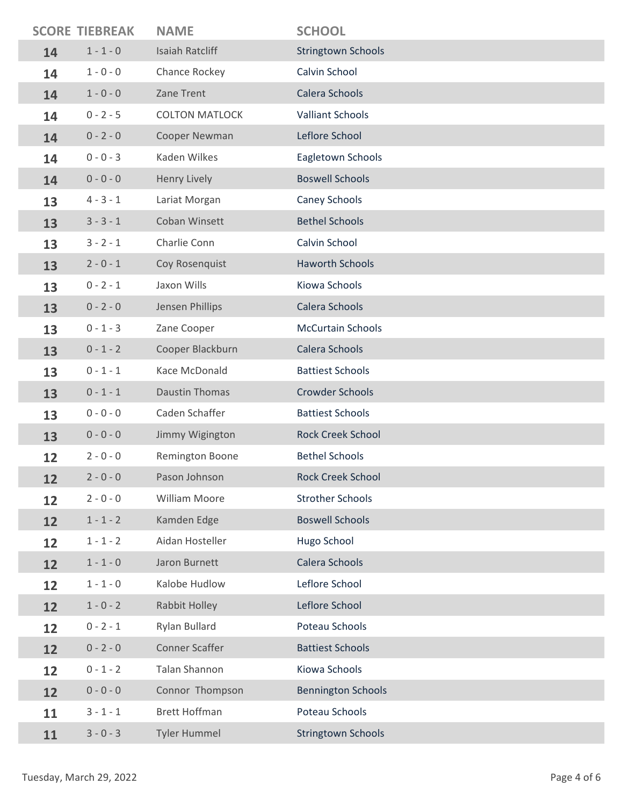|    | <b>SCORE TIEBREAK</b> | <b>NAME</b>            | <b>SCHOOL</b>             |
|----|-----------------------|------------------------|---------------------------|
| 14 | $1 - 1 - 0$           | <b>Isaiah Ratcliff</b> | <b>Stringtown Schools</b> |
| 14 | $1 - 0 - 0$           | Chance Rockey          | Calvin School             |
| 14 | $1 - 0 - 0$           | Zane Trent             | Calera Schools            |
| 14 | $0 - 2 - 5$           | <b>COLTON MATLOCK</b>  | <b>Valliant Schools</b>   |
| 14 | $0 - 2 - 0$           | Cooper Newman          | Leflore School            |
| 14 | $0 - 0 - 3$           | Kaden Wilkes           | Eagletown Schools         |
| 14 | $0 - 0 - 0$           | Henry Lively           | <b>Boswell Schools</b>    |
| 13 | $4 - 3 - 1$           | Lariat Morgan          | Caney Schools             |
| 13 | $3 - 3 - 1$           | Coban Winsett          | <b>Bethel Schools</b>     |
| 13 | $3 - 2 - 1$           | Charlie Conn           | Calvin School             |
| 13 | $2 - 0 - 1$           | Coy Rosenquist         | <b>Haworth Schools</b>    |
| 13 | $0 - 2 - 1$           | Jaxon Wills            | Kiowa Schools             |
| 13 | $0 - 2 - 0$           | Jensen Phillips        | Calera Schools            |
| 13 | $0 - 1 - 3$           | Zane Cooper            | <b>McCurtain Schools</b>  |
| 13 | $0 - 1 - 2$           | Cooper Blackburn       | Calera Schools            |
| 13 | $0 - 1 - 1$           | Kace McDonald          | <b>Battiest Schools</b>   |
| 13 | $0 - 1 - 1$           | <b>Daustin Thomas</b>  | <b>Crowder Schools</b>    |
| 13 | $0 - 0 - 0$           | Caden Schaffer         | <b>Battiest Schools</b>   |
| 13 | $0 - 0 - 0$           | Jimmy Wigington        | <b>Rock Creek School</b>  |
| 12 | $2 - 0 - 0$           | Remington Boone        | <b>Bethel Schools</b>     |
| 12 | $2 - 0 - 0$           | Pason Johnson          | Rock Creek School         |
| 12 | $2 - 0 - 0$           | <b>William Moore</b>   | <b>Strother Schools</b>   |
| 12 | $1 - 1 - 2$           | Kamden Edge            | <b>Boswell Schools</b>    |
| 12 | $1 - 1 - 2$           | Aidan Hosteller        | Hugo School               |
| 12 | $1 - 1 - 0$           | Jaron Burnett          | Calera Schools            |
| 12 | $1 - 1 - 0$           | Kalobe Hudlow          | Leflore School            |
| 12 | $1 - 0 - 2$           | Rabbit Holley          | Leflore School            |
| 12 | $0 - 2 - 1$           | Rylan Bullard          | Poteau Schools            |
| 12 | $0 - 2 - 0$           | <b>Conner Scaffer</b>  | <b>Battiest Schools</b>   |
| 12 | $0 - 1 - 2$           | <b>Talan Shannon</b>   | Kiowa Schools             |
| 12 | $0 - 0 - 0$           | Connor Thompson        | <b>Bennington Schools</b> |
| 11 | $3 - 1 - 1$           | <b>Brett Hoffman</b>   | Poteau Schools            |
| 11 | $3 - 0 - 3$           | <b>Tyler Hummel</b>    | <b>Stringtown Schools</b> |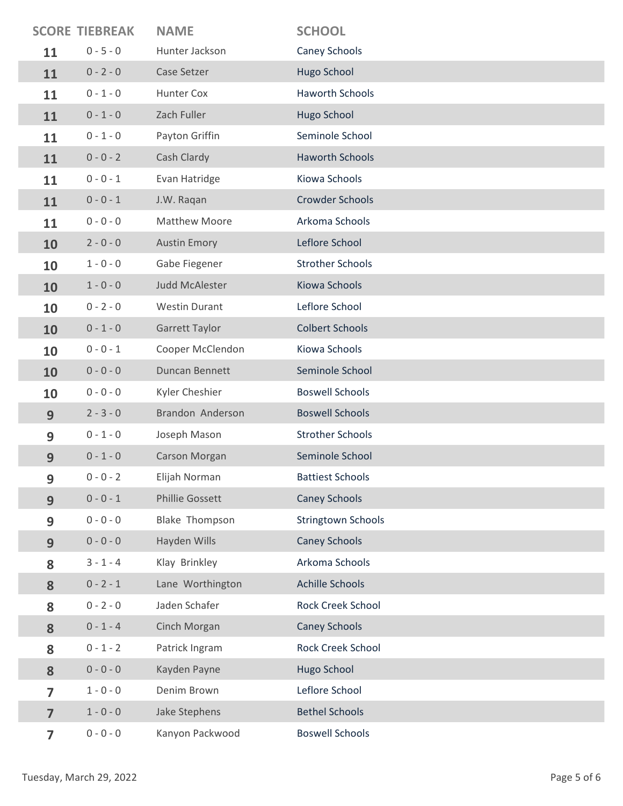|                         | <b>SCORE TIEBREAK</b> | <b>NAME</b>          | <b>SCHOOL</b>             |
|-------------------------|-----------------------|----------------------|---------------------------|
| 11                      | $0 - 5 - 0$           | Hunter Jackson       | Caney Schools             |
| 11                      | $0 - 2 - 0$           | Case Setzer          | Hugo School               |
| 11                      | $0 - 1 - 0$           | Hunter Cox           | <b>Haworth Schools</b>    |
| 11                      | $0 - 1 - 0$           | Zach Fuller          | Hugo School               |
| 11                      | $0 - 1 - 0$           | Payton Griffin       | Seminole School           |
| 11                      | $0 - 0 - 2$           | Cash Clardy          | <b>Haworth Schools</b>    |
| 11                      | $0 - 0 - 1$           | Evan Hatridge        | Kiowa Schools             |
| 11                      | $0 - 0 - 1$           | J.W. Raqan           | <b>Crowder Schools</b>    |
| 11                      | $0 - 0 - 0$           | <b>Matthew Moore</b> | Arkoma Schools            |
| 10                      | $2 - 0 - 0$           | <b>Austin Emory</b>  | Leflore School            |
| 10                      | $1 - 0 - 0$           | Gabe Fiegener        | <b>Strother Schools</b>   |
| 10                      | $1 - 0 - 0$           | Judd McAlester       | Kiowa Schools             |
| 10                      | $0 - 2 - 0$           | <b>Westin Durant</b> | Leflore School            |
| 10                      | $0 - 1 - 0$           | Garrett Taylor       | <b>Colbert Schools</b>    |
| 10                      | $0 - 0 - 1$           | Cooper McClendon     | Kiowa Schools             |
| 10                      | $0 - 0 - 0$           | Duncan Bennett       | Seminole School           |
| 10                      | $0 - 0 - 0$           | Kyler Cheshier       | <b>Boswell Schools</b>    |
| 9                       | $2 - 3 - 0$           | Brandon Anderson     | <b>Boswell Schools</b>    |
| 9                       | $0 - 1 - 0$           | Joseph Mason         | <b>Strother Schools</b>   |
| 9                       | $0 - 1 - 0$           | Carson Morgan        | Seminole School           |
| 9                       | $0 - 0 - 2$           | Elijah Norman        | <b>Battiest Schools</b>   |
| 9                       | $0 - 0 - 1$           | Phillie Gossett      | <b>Caney Schools</b>      |
| 9                       | $0 - 0 - 0$           | Blake Thompson       | <b>Stringtown Schools</b> |
| 9                       | $0 - 0 - 0$           | Hayden Wills         | <b>Caney Schools</b>      |
| 8                       | $3 - 1 - 4$           | Klay Brinkley        | Arkoma Schools            |
| 8                       | $0 - 2 - 1$           | Lane Worthington     | <b>Achille Schools</b>    |
| 8                       | $0 - 2 - 0$           | Jaden Schafer        | <b>Rock Creek School</b>  |
| 8                       | $0 - 1 - 4$           | Cinch Morgan         | <b>Caney Schools</b>      |
| 8                       | $0 - 1 - 2$           | Patrick Ingram       | Rock Creek School         |
| 8                       | $0 - 0 - 0$           | Kayden Payne         | Hugo School               |
| $\overline{7}$          | $1 - 0 - 0$           | Denim Brown          | Leflore School            |
| $\overline{7}$          | $1 - 0 - 0$           | Jake Stephens        | <b>Bethel Schools</b>     |
| $\overline{\mathbf{z}}$ | $0 - 0 - 0$           | Kanyon Packwood      | <b>Boswell Schools</b>    |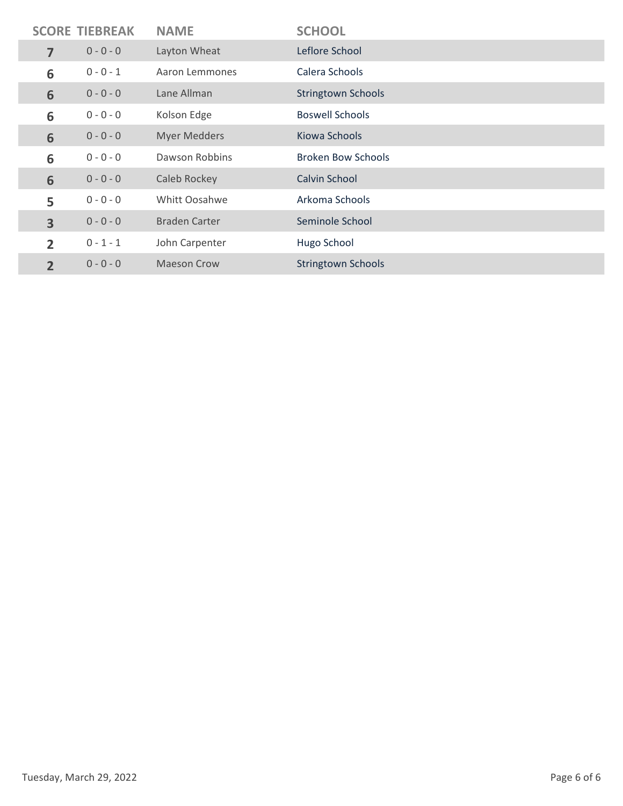|                | <b>SCORE TIEBREAK</b> | <b>NAME</b>          | <b>SCHOOL</b>             |
|----------------|-----------------------|----------------------|---------------------------|
| 7              | $0 - 0 - 0$           | Layton Wheat         | Leflore School            |
| 6              | $0 - 0 - 1$           | Aaron Lemmones       | Calera Schools            |
| 6              | $0 - 0 - 0$           | Lane Allman          | <b>Stringtown Schools</b> |
| 6              | $0 - 0 - 0$           | Kolson Edge          | <b>Boswell Schools</b>    |
| 6              | $0 - 0 - 0$           | <b>Myer Medders</b>  | Kiowa Schools             |
| 6              | $0 - 0 - 0$           | Dawson Robbins       | <b>Broken Bow Schools</b> |
| 6              | $0 - 0 - 0$           | Caleb Rockey         | Calvin School             |
| 5              | $0 - 0 - 0$           | Whitt Oosahwe        | Arkoma Schools            |
| 3              | $0 - 0 - 0$           | <b>Braden Carter</b> | Seminole School           |
| $\overline{2}$ | $0 - 1 - 1$           | John Carpenter       | Hugo School               |
| $\overline{2}$ | $0 - 0 - 0$           | <b>Maeson Crow</b>   | <b>Stringtown Schools</b> |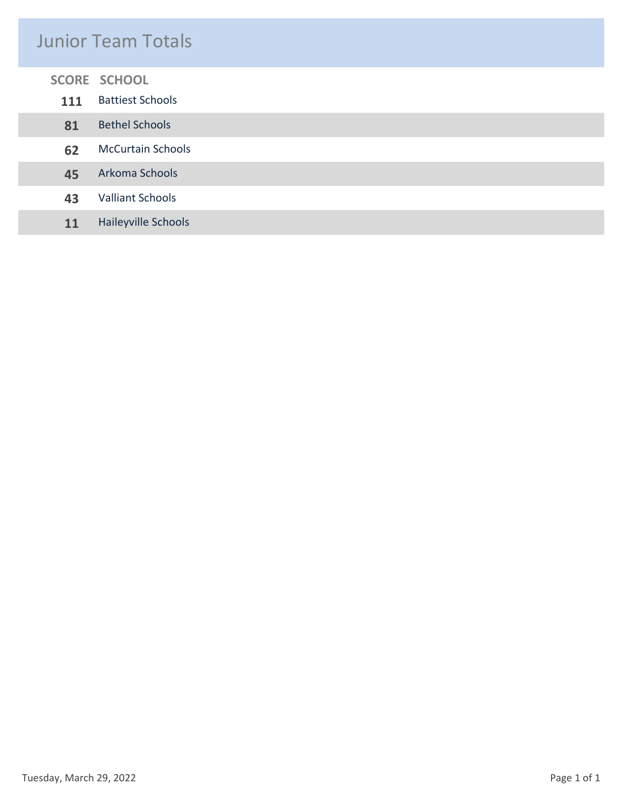### Junior Team Totals

#### **SCORE SCHOOL**

I

| <b>111</b> | <b>Battiest Schools</b>  |
|------------|--------------------------|
| 81         | <b>Bethel Schools</b>    |
| 62         | <b>McCurtain Schools</b> |
| 45         | Arkoma Schools           |
| 43         | <b>Valliant Schools</b>  |
| 11         | Haileyville Schools      |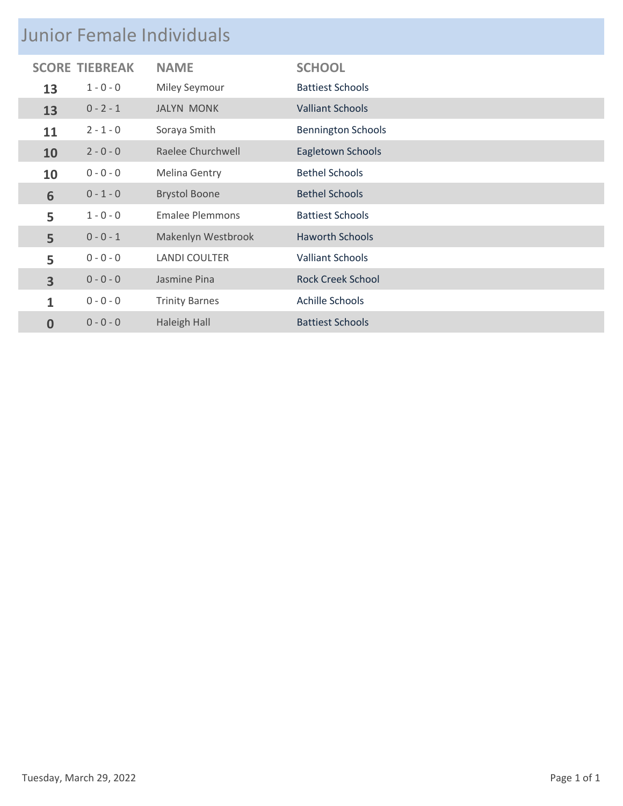|                         | <b>Junior Female Individuals</b> |                        |                           |  |
|-------------------------|----------------------------------|------------------------|---------------------------|--|
|                         | <b>SCORE TIEBREAK</b>            | <b>NAME</b>            | <b>SCHOOL</b>             |  |
| 13                      | $1 - 0 - 0$                      | <b>Miley Seymour</b>   | <b>Battiest Schools</b>   |  |
| 13                      | $0 - 2 - 1$                      | <b>JALYN MONK</b>      | <b>Valliant Schools</b>   |  |
| 11                      | $2 - 1 - 0$                      | Soraya Smith           | <b>Bennington Schools</b> |  |
| 10                      | $2 - 0 - 0$                      | Raelee Churchwell      | Eagletown Schools         |  |
| 10                      | $0 - 0 - 0$                      | Melina Gentry          | <b>Bethel Schools</b>     |  |
| 6                       | $0 - 1 - 0$                      | <b>Brystol Boone</b>   | <b>Bethel Schools</b>     |  |
| 5                       | $1 - 0 - 0$                      | <b>Emalee Plemmons</b> | <b>Battiest Schools</b>   |  |
| 5                       | $0 - 0 - 1$                      | Makenlyn Westbrook     | <b>Haworth Schools</b>    |  |
| 5                       | $0 - 0 - 0$                      | <b>LANDI COULTER</b>   | <b>Valliant Schools</b>   |  |
| $\overline{\mathbf{3}}$ | $0 - 0 - 0$                      | Jasmine Pina           | <b>Rock Creek School</b>  |  |
| 1                       | $0 - 0 - 0$                      | <b>Trinity Barnes</b>  | Achille Schools           |  |
| 0                       | $0 - 0 - 0$                      | <b>Haleigh Hall</b>    | <b>Battiest Schools</b>   |  |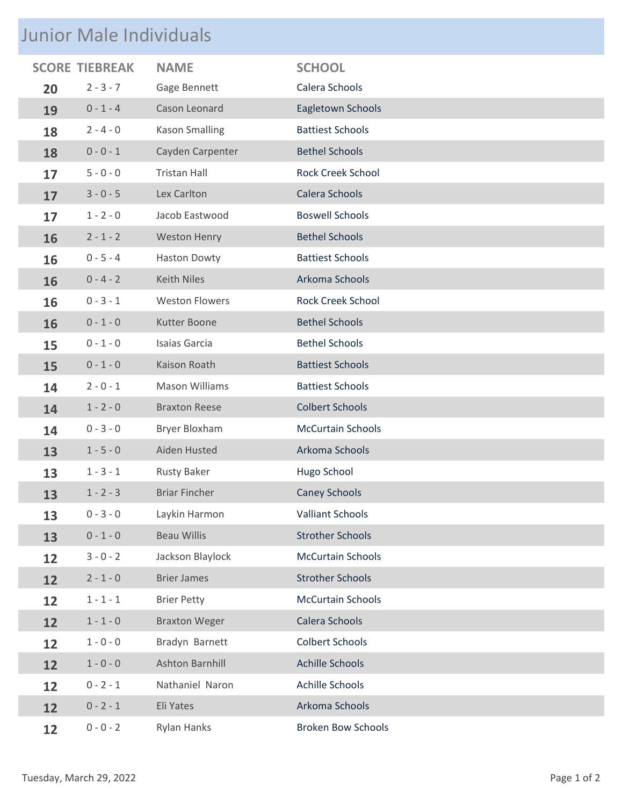## Junior Male Individuals

|    |             | <b>NAME</b>           | <b>SCHOOL</b>             |
|----|-------------|-----------------------|---------------------------|
| 20 | $2 - 3 - 7$ | Gage Bennett          | Calera Schools            |
| 19 | $0 - 1 - 4$ | Cason Leonard         | Eagletown Schools         |
| 18 | $2 - 4 - 0$ | <b>Kason Smalling</b> | <b>Battiest Schools</b>   |
| 18 | $0 - 0 - 1$ | Cayden Carpenter      | <b>Bethel Schools</b>     |
| 17 | $5 - 0 - 0$ | <b>Tristan Hall</b>   | <b>Rock Creek School</b>  |
| 17 | $3 - 0 - 5$ | Lex Carlton           | Calera Schools            |
| 17 | $1 - 2 - 0$ | Jacob Eastwood        | <b>Boswell Schools</b>    |
| 16 | $2 - 1 - 2$ | <b>Weston Henry</b>   | <b>Bethel Schools</b>     |
| 16 | $0 - 5 - 4$ | <b>Haston Dowty</b>   | <b>Battiest Schools</b>   |
| 16 | $0 - 4 - 2$ | <b>Keith Niles</b>    | Arkoma Schools            |
| 16 | $0 - 3 - 1$ | <b>Weston Flowers</b> | <b>Rock Creek School</b>  |
| 16 | $0 - 1 - 0$ | Kutter Boone          | <b>Bethel Schools</b>     |
| 15 | $0 - 1 - 0$ | Isaias Garcia         | <b>Bethel Schools</b>     |
| 15 | $0 - 1 - 0$ | Kaison Roath          | <b>Battiest Schools</b>   |
| 14 | $2 - 0 - 1$ | <b>Mason Williams</b> | <b>Battiest Schools</b>   |
| 14 | $1 - 2 - 0$ | <b>Braxton Reese</b>  | <b>Colbert Schools</b>    |
| 14 | $0 - 3 - 0$ | <b>Bryer Bloxham</b>  | <b>McCurtain Schools</b>  |
| 13 | $1 - 5 - 0$ | Aiden Husted          | Arkoma Schools            |
| 13 | $1 - 3 - 1$ | <b>Rusty Baker</b>    | Hugo School               |
| 13 | $1 - 2 - 3$ | <b>Briar Fincher</b>  | <b>Caney Schools</b>      |
| 13 | $0 - 3 - 0$ | Laykin Harmon         | <b>Valliant Schools</b>   |
| 13 | $0 - 1 - 0$ | <b>Beau Willis</b>    | <b>Strother Schools</b>   |
| 12 | $3 - 0 - 2$ | Jackson Blaylock      | <b>McCurtain Schools</b>  |
| 12 | $2 - 1 - 0$ | <b>Brier James</b>    | <b>Strother Schools</b>   |
| 12 | $1 - 1 - 1$ | <b>Brier Petty</b>    | <b>McCurtain Schools</b>  |
| 12 | $1 - 1 - 0$ | <b>Braxton Weger</b>  | Calera Schools            |
| 12 | $1 - 0 - 0$ | Bradyn Barnett        | <b>Colbert Schools</b>    |
| 12 | $1 - 0 - 0$ | Ashton Barnhill       | <b>Achille Schools</b>    |
| 12 | $0 - 2 - 1$ | Nathaniel Naron       | <b>Achille Schools</b>    |
| 12 | $0 - 2 - 1$ | Eli Yates             | Arkoma Schools            |
| 12 | $0 - 0 - 2$ | Rylan Hanks           | <b>Broken Bow Schools</b> |
|    |             | <b>SCORE TIEBREAK</b> |                           |